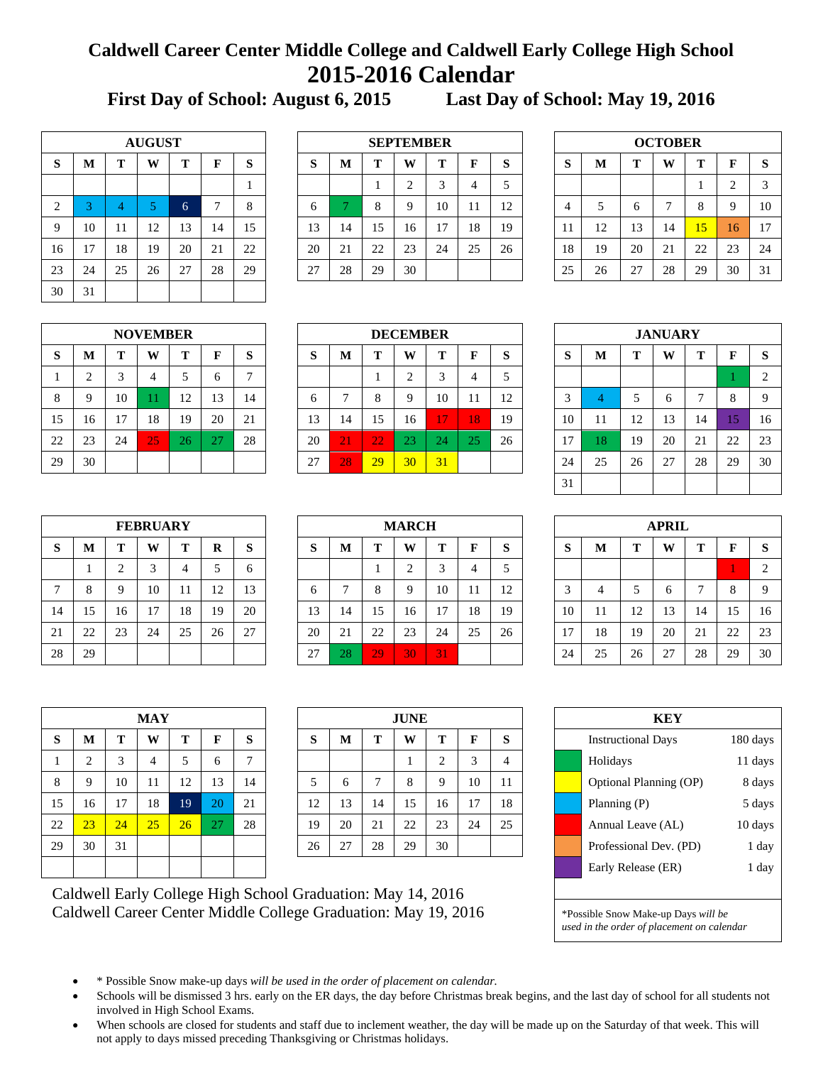## **Caldwell Career Center Middle College and Caldwell Early College High School 2015-2016 Calendar**

**First Day of School: August 6, 2015 Last Day of School: May 19, 2016**

|                | <b>AUGUST</b> |    |    |    |    |    |  |  |  |  |  |  |
|----------------|---------------|----|----|----|----|----|--|--|--|--|--|--|
| S              | M             | T  | F  | S  |    |    |  |  |  |  |  |  |
|                |               |    |    |    |    | 1  |  |  |  |  |  |  |
| $\overline{2}$ | 3             |    | 5  | 6  | 7  | 8  |  |  |  |  |  |  |
| 9              | 10            | 11 | 12 | 13 | 14 | 15 |  |  |  |  |  |  |
| 16             | 17            | 18 | 19 | 20 | 21 | 22 |  |  |  |  |  |  |
| 23             | 24            | 25 | 26 | 27 | 28 | 29 |  |  |  |  |  |  |
| 30             | 31            |    |    |    |    |    |  |  |  |  |  |  |

|    |    |    | <b>AUGUST</b> |                         |    |    | <b>SEPTEMBER</b> |                            |    |    |        |    |          |  | <b>OCTOBER</b> |    |    |    |    |    |          |
|----|----|----|---------------|-------------------------|----|----|------------------|----------------------------|----|----|--------|----|----------|--|----------------|----|----|----|----|----|----------|
| S  | M  | m  | W             |                         | F  | S  | $\sim$<br>D      | Т<br>m<br>W<br>ы<br>M<br>O |    |    |        |    |          |  | D              | М  | m  | W  | m  |    | <b>S</b> |
|    |    |    |               |                         |    |    |                  |                            |    |    | $\sim$ | 4  |          |  |                |    |    |    |    |    | 3        |
| 2  |    |    |               |                         |    | 8  | O                |                            |    | о  | 10     |    | 12<br>⊥∠ |  | 4              |    |    | −  | 8  |    | 10       |
| 9  | 10 | 11 | 12            | 13                      | 14 | 15 | 13               | 14                         | 15 | 16 | 17     | 18 | 19       |  | 11             | 12 | 13 | 14 | 15 | 16 | 17       |
| 16 |    | 18 | 19            | 20                      | 21 | 22 | 20               | 21                         | 22 | 23 | 24     | 25 | 26       |  | 18             | 19 | 20 | 21 | 22 | 23 | 24       |
| 23 | 24 | 25 | 26            | $\sim$<br>$\mathcal{L}$ | 28 | 29 | 27               | 28                         | 29 | 30 |        |    |          |  | 25             | 26 | 27 | 28 | 29 | 30 | 31       |

| <b>OCTOBER</b> |    |    |    |    |                |    |  |  |  |  |  |
|----------------|----|----|----|----|----------------|----|--|--|--|--|--|
| S              | M  | T  | W  | T  | F              | S  |  |  |  |  |  |
|                |    |    |    |    | $\overline{2}$ | 3  |  |  |  |  |  |
| $\overline{4}$ | 5  | 6  | 7  | 8  | 9              | 10 |  |  |  |  |  |
| 11             | 12 | 13 | 14 | 15 | 16             | 17 |  |  |  |  |  |
| 18             | 19 | 20 | 21 | 22 | 23             | 24 |  |  |  |  |  |
| 25             | 26 | 27 | 28 | 29 | 30             | 31 |  |  |  |  |  |

| <b>NOVEMBER</b> |    |    |    |    |    |    |  |  |  |  |  |  |
|-----------------|----|----|----|----|----|----|--|--|--|--|--|--|
| S               | M  | T  | W  | T  | F  | S  |  |  |  |  |  |  |
| 1               | 2  | 3  | 4  | 5  | 6  | 7  |  |  |  |  |  |  |
| 8               | 9  | 10 | 11 | 12 | 13 | 14 |  |  |  |  |  |  |
| 15              | 16 | 17 | 18 | 19 | 20 | 21 |  |  |  |  |  |  |
| 22              | 23 | 24 | 25 | 26 | 27 | 28 |  |  |  |  |  |  |
| 29              | 30 |    |    |    |    |    |  |  |  |  |  |  |

|    |    |    | <b>NOVEMBER</b> |            |              |                | <b>DECEMBER</b> |                       |    |    |    |     |    |  |    |    | <b>JANUARY</b> |    |    |                     |              |
|----|----|----|-----------------|------------|--------------|----------------|-----------------|-----------------------|----|----|----|-----|----|--|----|----|----------------|----|----|---------------------|--------------|
| S  | M  | m  | W               |            | F            | S              | $\sim$<br>ø     | т<br>m<br>M<br>W<br>O |    |    |    |     |    |  | D  | М  | π.             | W  | m  |                     | <sup>S</sup> |
|    |    |    | 4               |            | <sub>0</sub> | $\overline{ }$ |                 |                       |    |    | 3  | 4   |    |  |    |    |                |    |    |                     | $\bigcirc$   |
| 8  |    | 10 |                 | 12<br>- 12 | 13           | 14             | <sub>0</sub>    |                       |    | Q  | 10 |     | 12 |  |    |    |                | O  |    |                     | 9            |
| 15 | 16 |    | 18              | 19         | 20           | 21             | 13              | 14                    | 15 | 16 | 17 | 187 | 19 |  | 10 | 11 | 12             | 13 | 14 |                     | 16           |
| 22 | 23 | 24 | 25              | 26         | $\sim$ $-$   | 28             | 20              | 21                    | 22 | 23 | 24 | 25  | 26 |  | 17 | 18 | 19             | 20 | 21 | $\mathcal{D}$<br>∠∠ | 23           |
| 29 | 30 |    |                 |            |              |                | 27              | 28<br>29<br>31<br>30  |    |    |    |     |    |  | 24 | 25 | 26             | 27 | 28 | 29                  | 30           |

| <b>JANUARY</b> |                            |    |                |    |    |    |  |  |  |  |  |  |  |
|----------------|----------------------------|----|----------------|----|----|----|--|--|--|--|--|--|--|
| S              | S<br>M<br>T<br>W<br>T<br>F |    |                |    |    |    |  |  |  |  |  |  |  |
|                |                            | 1  | $\overline{2}$ |    |    |    |  |  |  |  |  |  |  |
| 3              |                            | 5  | 6              | 7  | 8  | 9  |  |  |  |  |  |  |  |
| 10             | 11                         | 12 | 13             | 14 | 15 | 16 |  |  |  |  |  |  |  |
| 17             | 18                         | 19 | 20             | 21 | 22 | 23 |  |  |  |  |  |  |  |
| 24             | 25                         | 26 | 27             | 28 | 29 | 30 |  |  |  |  |  |  |  |
| 31             |                            |    |                |    |    |    |  |  |  |  |  |  |  |

|    | <b>FEBRUARY</b> |                |    |    |    |    |  |  |  |  |  |  |  |
|----|-----------------|----------------|----|----|----|----|--|--|--|--|--|--|--|
| S  | M               | T              | W  | T  | R  | S  |  |  |  |  |  |  |  |
|    |                 | $\overline{2}$ | 3  |    | .5 | 6  |  |  |  |  |  |  |  |
| 7  | 8               | 9              | 10 | 11 | 12 | 13 |  |  |  |  |  |  |  |
| 14 | 15              | 16             | 17 | 18 | 19 | 20 |  |  |  |  |  |  |  |
| 21 | 22              | 23             | 24 | 25 | 26 | 27 |  |  |  |  |  |  |  |
| 28 | 29              |                |    |    |    |    |  |  |  |  |  |  |  |

|               |                     |    | <b>FEBRUARY</b> |    |    |    |         | <b>MARCH</b>               |     |    |                         |    |    |  |        | <b>APRIL</b> |    |    |    |                     |          |
|---------------|---------------------|----|-----------------|----|----|----|---------|----------------------------|-----|----|-------------------------|----|----|--|--------|--------------|----|----|----|---------------------|----------|
| S             | M                   | m  | W               | m  | R  | S  | Q<br>D. | W<br>Т<br>m<br>M<br>ю<br>O |     |    |                         |    |    |  | D      | М            | m  | W  | m  |                     | <b>S</b> |
|               |                     | ◠  | $\sim$          |    |    | O  |         |                            |     |    | $\mathbf{\overline{3}}$ | 4  |    |  |        |              |    |    |    |                     | 2        |
| $\mathcal{I}$ |                     |    | 10              | 11 | 12 | 13 | O       | -                          |     | Q  | 10                      | -1 | 12 |  | $\sim$ |              |    | O  |    |                     | 9        |
| 14            | 15                  | 16 | 17              | 18 | 19 | 20 | 13      | 14                         | 15  | 16 | 17                      | 18 | 19 |  | 10     | 11           | 12 | 13 | 14 |                     | 16       |
| 21            | $\mathcal{D}$<br>∠∠ | 23 | 24              | 25 | 26 | 27 | 20      | 21                         | 22  | 23 | 24                      | 25 | 26 |  | 17     | 18           | 19 | 20 | 21 | $\mathcal{D}$<br>∠∠ | 23       |
| 28            | 29                  |    |                 |    |    |    | 27      | 28                         | 29' | 30 | 31                      |    |    |  | 24     | 25           | 26 | 27 | 28 | 29                  | 30       |

|                                 | <b>APRIL</b>   |    |    |    |    |                |  |  |  |  |  |  |
|---------------------------------|----------------|----|----|----|----|----------------|--|--|--|--|--|--|
| S<br>T<br>S<br>T<br>M<br>W<br>F |                |    |    |    |    |                |  |  |  |  |  |  |
|                                 |                |    |    |    | 1  | $\overline{2}$ |  |  |  |  |  |  |
| 3                               | $\overline{4}$ | 5  | 6  | 7  | 8  | 9              |  |  |  |  |  |  |
| 10                              | 11             | 12 | 13 | 14 | 15 | 16             |  |  |  |  |  |  |
| 17                              | 18             | 19 | 20 | 21 | 22 | 23             |  |  |  |  |  |  |
| 24                              | 25             | 26 | 27 | 28 | 29 | 30             |  |  |  |  |  |  |

| <b>MAY</b> |                |    |    |    |    |    |  |  |  |  |  |  |  |
|------------|----------------|----|----|----|----|----|--|--|--|--|--|--|--|
| S          | M              | T  | F  | S  |    |    |  |  |  |  |  |  |  |
| 1          | $\overline{2}$ | 3  | 4  | 5  | 6  | 7  |  |  |  |  |  |  |  |
| 8          | 9              | 10 | 11 | 12 | 13 | 14 |  |  |  |  |  |  |  |
| 15         | 16             | 17 | 18 | 19 | 20 | 21 |  |  |  |  |  |  |  |
| 22         | 23             | 24 | 25 | 26 | 27 | 28 |  |  |  |  |  |  |  |
| 29         | 30             | 31 |    |    |    |    |  |  |  |  |  |  |  |
|            |                |    |    |    |    |    |  |  |  |  |  |  |  |

|    |          |    | <b>MAY</b> |    |    |              | <b>JUNE</b> |    |    |    |             |    |         |  | <b>KEY</b>                |          |
|----|----------|----|------------|----|----|--------------|-------------|----|----|----|-------------|----|---------|--|---------------------------|----------|
| S  | M        | m  | W          | m  | ┳  | S            | U<br>ъ.     | M  |    | W  | Т           | F  | O<br>O. |  | <b>Instructional Days</b> | 180 days |
|    |          |    | 4          |    |    | $\mathbf{r}$ |             |    |    |    | $\sim$      |    |         |  | Holidays                  | 11 days  |
| 8  | $\Omega$ | 10 | 11         | 12 | 13 | 14           |             | 6  |    | 8  | $\mathbf Q$ | 10 | 11      |  | Optional Planning (OP)    | 8 days   |
| 15 | 16       | 17 | 18         | 19 | 20 | 21           | 12          | 13 | 14 | 15 | 16          | 17 | 18      |  | Planning $(P)$            | 5 days   |
| 22 | 23       | 24 | 25         | 26 | 27 | 28           | 19          | 20 | 21 | 22 | 23          | 24 | 25      |  | Annual Leave (AL)         | 10 days  |
| 29 | 30       | 31 |            |    |    |              | 26          | 27 | 28 | 29 | 30          |    |         |  | Professional Dev. (PD)    | 1 day    |
|    |          |    |            |    |    |              |             |    |    |    |             |    |         |  |                           |          |

| KEY                                                                               |                                  |          |  |  |  |  |  |  |  |  |  |
|-----------------------------------------------------------------------------------|----------------------------------|----------|--|--|--|--|--|--|--|--|--|
|                                                                                   | <b>Instructional Days</b>        | 180 days |  |  |  |  |  |  |  |  |  |
|                                                                                   | Holidays<br>11 days              |          |  |  |  |  |  |  |  |  |  |
|                                                                                   | Optional Planning (OP)<br>8 days |          |  |  |  |  |  |  |  |  |  |
|                                                                                   | Planning (P)<br>5 days           |          |  |  |  |  |  |  |  |  |  |
|                                                                                   | Annual Leave (AL)<br>10 days     |          |  |  |  |  |  |  |  |  |  |
|                                                                                   | Professional Dev. (PD)           | 1 day    |  |  |  |  |  |  |  |  |  |
|                                                                                   | Early Release (ER)<br>1 day      |          |  |  |  |  |  |  |  |  |  |
|                                                                                   |                                  |          |  |  |  |  |  |  |  |  |  |
| *Possible Snow Make-up Days will be<br>used in the order of placement on calendar |                                  |          |  |  |  |  |  |  |  |  |  |

Caldwell Early College High School Graduation: May 14, 2016 Caldwell Career Center Middle College Graduation: May 19, 2016

- \* Possible Snow make-up days *will be used in the order of placement on calendar.*
- Schools will be dismissed 3 hrs. early on the ER days, the day before Christmas break begins, and the last day of school for all students not involved in High School Exams.
- When schools are closed for students and staff due to inclement weather, the day will be made up on the Saturday of that week. This will not apply to days missed preceding Thanksgiving or Christmas holidays.